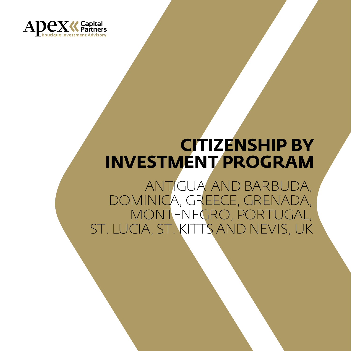

## **CITIZENSHIP BY INVESTMENT PROGRAM**

ANTIGUA AND BARBUDA, DOMINICA, GREECE, GRENADA, MONTENEGRO, PORTUGAL, ST. LUCIA, ST. KITTS AND NEVIS, UK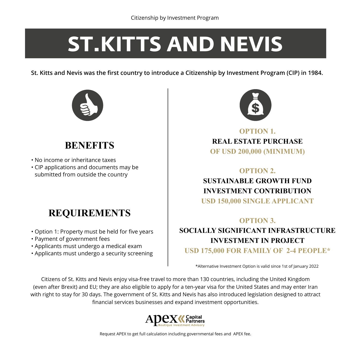# **ST.KITTS AND NEVIS**

**St. Kitts and Nevis was the first country to introduce a Citizenship by Investment Program (CIP) in 1984.**



## **BENEFITS**

- No income or inheritance taxes
- CIP applications and documents may be submitted from outside the country

## **REQUIREMENTS**

- Option 1: Property must be held for five years
- Payment of government fees
- Applicants must undergo a medical exam
- Applicants must undergo a security screening



**OPTION 1. REAL ESTATE PURCHASE OF USD 200,000 (MINIMUM)**

#### **OPTION 2. SUSTAINABLE GROWTH FUND INVESTMENT CONTRIBUTION USD 150,000 SINGLE APPLICANT**

#### **OPTION 3.**

**SOCIALLY SIGNIFICANT INFRASTRUCTURE INVESTMENT IN PROJECT USD 175,000 FOR FAMILY OF 2-4 PEOPLE\***

\*Alternative Investment Option is valid since 1st of January 2022

Citizens of St. Kitts and Nevis enjoy visa-free travel to more than 130 countries, including the United Kingdom (even after Brexit) and EU; they are also eligible to apply for a ten-year visa for the United States and may enter Iran with right to stay for 30 days. The government of St. Kitts and Nevis has also introduced legislation designed to attract financial services businesses and expand investment opportunities.

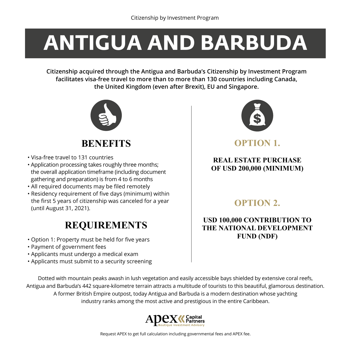## **ANTIGUA AND BARBUDA**

**Citizenship acquired through the Antigua and Barbuda's Citizenship by Investment Program facilitates visa-free travel to more than to more than 130 countries including Canada, the United Kingdom (even after Brexit), EU and Singapore.**



**BENEFITS**

- Visa-free travel to 131 countries
- Application processing takes roughly three months; the overall application timeframe (including document gathering and preparation) is from 4 to 6 months
- All required documents may be filed remotely
- Residency requirement of five days (minimum) within the first 5 years of citizenship was canceled for a year (until August 31, 2021).

## **REQUIREMENTS**

- Option 1: Property must be held for five years
- Payment of government fees
- Applicants must undergo a medical exam
- Applicants must submit to a security screening



**OPTION 1.**

#### **REAL ESTATE PURCHASE OF USD 200,000 (MINIMUM)**

#### **OPTION 2.**

#### **USD 100,000 CONTRIBUTION TO THE NATIONAL DEVELOPMENT FUND (NDF)**

Dotted with mountain peaks awash in lush vegetation and easily accessible bays shielded by extensive coral reefs, Antigua and Barbuda's 442 square-kilometre terrain attracts a multitude of tourists to this beautiful, glamorous destination. A former British Empire outpost, today Antigua and Barbuda is a modern destination whose yachting industry ranks among the most active and prestigious in the entire Caribbean.

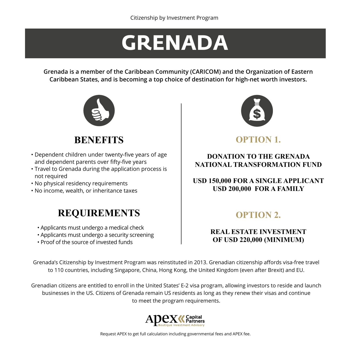## **GRENADA**

**Grenada is a member of the Caribbean Community (CARICOM) and the Organization of Eastern Caribbean States, and is becoming a top choice of destination for high-net worth investors.**



## **BENEFITS**

- Dependent children under twenty-five years of age and dependent parents over fifty-five years
- Travel to Grenada during the application process is not required
- No physical residency requirements
- No income, wealth, or inheritance taxes

### **REQUIREMENTS**

- Applicants must undergo a medical check
- Applicants must undergo a security screening
- Proof of the source of invested funds



**OPTION 1.**

#### **DONATION TO THE GRENADA NATIONAL TRANSFORMATION FUND**

#### **USD 150,000 FOR A SINGLE APPLICANT USD 200,000 FOR A FAMILY**

### **OPTION 2.**

#### **REAL ESTATE INVESTMENT OF USD 220,000 (MINIMUM)**

Grenada's Citizenship by Investment Program was reinstituted in 2013. Grenadian citizenship affords visa-free travel to 110 countries, including Singapore, China, Hong Kong, the United Kingdom (even after Brexit) and EU.

Grenadian citizens are entitled to enroll in the United States' E-2 visa program, allowing investors to reside and launch businesses in the US. Citizens of Grenada remain US residents as long as they renew their visas and continue to meet the program requirements.

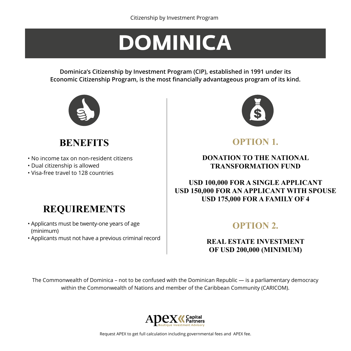## **DOMINICA**

**Dominica's Citizenship by Investment Program (CIP), established in 1991 under its Economic Citizenship Program, is the most financially advantageous program of its kind.**



## **BENEFITS**

- No income tax on non-resident citizens
- Dual citizenship is allowed
- Visa-free travel to 128 countries

## **REQUIREMENTS**

- Applicants must be twenty-one years of age (minimum)
- Applicants must not have a previous criminal record



**OPTION 1.** 

#### **DONATION TO THE NATIONAL TRANSFORMATION FUND**

#### **USD 100,000 FOR A SINGLE APPLICANT USD 150,000 FOR AN APPLICANT WITH SPOUSE USD 175,000 FOR A FAMILY OF 4**

### **OPTION 2.**

#### **REAL ESTATE INVESTMENT OF USD 200,000 (MINIMUM)**

The Commonwealth of Dominica – not to be confused with the Dominican Republic — is a parliamentary democracy within the Commonwealth of Nations and member of the Caribbean Community (CARICOM).

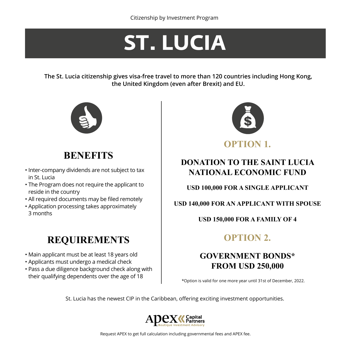## **ST. LUCIA**

**The St. Lucia citizenship gives visa-free travel to more than 120 countries including Hong Kong, the United Kingdom (even after Brexit) and EU.**



### **BENEFITS**

- Inter-company dividends are not subject to tax in St. Lucia
- The Program does not require the applicant to reside in the country
- All required documents may be filed remotely
- Application processing takes approximately 3 months

## **REQUIREMENTS**

- Main applicant must be at least 18 years old
- Applicants must undergo a medical check
- Pass a due diligence background check along with their qualifying dependents over the age of 18



#### **DONATION TO THE SAINT LUCIA NATIONAL ECONOMIC FUND**

**USD 100,000 FOR A SINGLE APPLICANT**

**USD 140,000 FOR AN APPLICANT WITH SPOUSE**

#### **USD 150,000 FOR A FAMILY OF 4**

### **OPTION 2.**

### **GOVERNMENT BONDS\* FROM USD 250,000**

\*Option is valid for one more year until 31st of December, 2022.

St. Lucia has the newest CIP in the Caribbean, offering exciting investment opportunities.

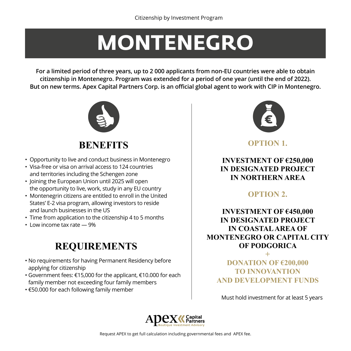## **MONTENEGRO**

**For a limited period of three years, up to 2 000 applicants from non-EU countries were able to obtain citizenship in Montenegro. Program was extended for a period of one year (until the end of 2022). But on new terms. Apex Capital Partners Corp. is an official global agent to work with CIP in Montenegro.**



**BENEFITS**

- Opportunity to live and conduct business in Montenegro
- Visa-free or visa on arrival access to 124 countries and territories including the Schengen zone
- Joining the European Union until 2025 will open the opportunity to live, work, study in any EU country
- Montenegrin citizens are entitled to enroll in the United States' E-2 visa program, allowing investors to reside and launch businesses in the US
- Time from application to the citizenship 4 to 5 months
- Low income tax rate 9%

## **REQUIREMENTS**

- No requirements for having Permanent Residency before applying for citizenship
- Government fees: €15,000 for the applicant, €10.000 for each family member not exceeding four family members
- €50.000 for each following family member



**OPTION 1.**

**INVESTMENT OF €250,000 IN DESIGNATED PROJECT IN NORTHERN AREA**

#### **OPTION 2.**

#### **INVESTMENT OF €450,000 IN DESIGNATED PROJECT IN COASTAL AREA OF MONTENEGRO OR CAPITAL CITY OF PODGORICA**

**+ DONATION OF €200,000 TO INNOVANTION AND DEVELOPMENT FUNDS**

Must hold investment for at least 5 years

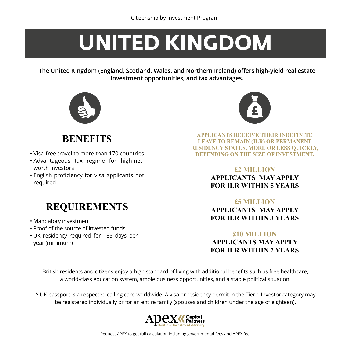## **UNITED KINGDOM**

**The United Kingdom (England, Scotland, Wales, and Northern Ireland) offers high-yield real estate investment opportunities, and tax advantages.**



## **BENEFITS**

- Visa-free travel to more than 170 countries
- Advantageous tax regime for high-networth investors
- English proficiency for visa applicants not required

## **REQUIREMENTS**

- Mandatory investment
- Proof of the source of invested funds
- UK residency required for 185 days per year (minimum)



**APPLICANTS RECEIVE THEIR INDEFINITE LEAVE TO REMAIN (ILR) OR PERMANENT RESIDENCY STATUS, MORE OR LESS QUICKLY, DEPENDING ON THE SIZE OF INVESTMENT.**

#### **£2 MILLION APPLICANTS MAY APPLY FOR ILR WITHIN 5 YEARS**

**£5 MILLION APPLICANTS MAY APPLY FOR ILR WITHIN 3 YEARS** 

#### **£10 MILLION APPLICANTS MAY APPLY FOR ILR WITHIN 2 YEARS**

British residents and citizens enjoy a high standard of living with additional benefits such as free healthcare, a world-class education system, ample business opportunities, and a stable political situation.

A UK passport is a respected calling card worldwide. A visa or residency permit in the Tier 1 Investor category may be registered individually or for an entire family (spouses and children under the age of eighteen).

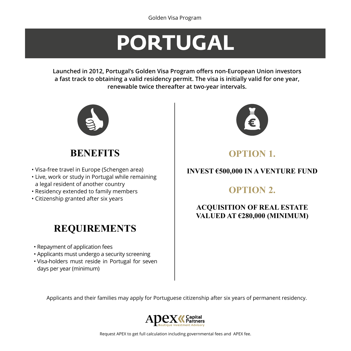## **PORTUGAL**

**Launched in 2012, Portugal's Golden Visa Program offers non-European Union investors a fast track to obtaining a valid residency permit. The visa is initially valid for one year, renewable twice thereafter at two-year intervals.**



### **BENEFITS**

- Visa-free travel in Europe (Schengen area)
- Live, work or study in Portugal while remaining a legal resident of another country
- Residency extended to family members
- Citizenship granted after six years

## **REQUIREMENTS**

- Repayment of application fees
- Applicants must undergo a security screening
- Visa-holders must reside in Portugal for seven days per year (minimum)



### **OPTION 1.**

#### **INVEST €500,000 IN A VENTURE FUND**

### **OPTION 2.**

#### **ACQUISITION OF REAL ESTATE VALUED AT €280,000 (MINIMUM)**

Applicants and their families may apply for Portuguese citizenship after six years of permanent residency.

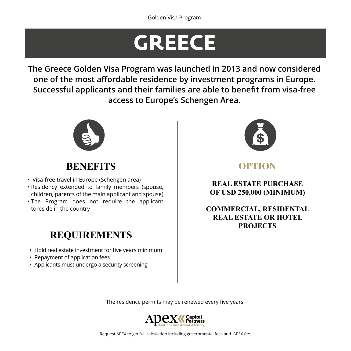## **GREECE**

**The Greece Golden Visa Program was launched in 2013 and now considered one of the most affordable residence by investment programs in Europe. Successful applicants and their families are able to benefit from visa-free access to Europe's Schengen Area.**



## **BENEFITS**

- Visa-free travel in Europe (Schengen area)
- Residency extended to family members (spouse, children, parents of the main applicant and spouse)
- The Program does not require the applicant toreside in the country

## **REQUIREMENTS**

- Hold real estate investment for five years minimum
- Repayment of application fees
- Applicants must undergo a security screening



**OPTION**

**REAL ESTATE PURCHASE OF USD 250,000 (MINIMUM)**

**COMMERCIAL, RESIDENTAL REAL ESTATE OR HOTEL PROJECTS**

The residence permits may be renewed every five years.